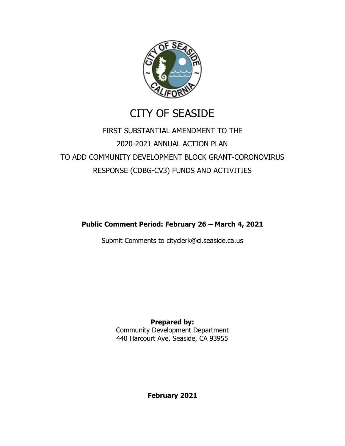

# CITY OF SEASIDE

# FIRST SUBSTANTIAL AMENDMENT TO THE 2020-2021 ANNUAL ACTION PLAN TO ADD COMMUNITY DEVELOPMENT BLOCK GRANT-CORONOVIRUS RESPONSE (CDBG-CV3) FUNDS AND ACTIVITIES

**Public Comment Period: February 26 – March 4, 2021**

Submit Comments to cityclerk@ci.seaside.ca.us

**Prepared by:** Community Development Department 440 Harcourt Ave, Seaside, CA 93955

**February 2021**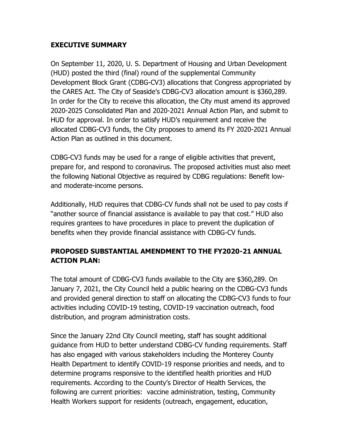### **EXECUTIVE SUMMARY**

On September 11, 2020, U. S. Department of Housing and Urban Development (HUD) posted the third (final) round of the supplemental Community Development Block Grant (CDBG-CV3) allocations that Congress appropriated by the CARES Act. The City of Seaside's CDBG-CV3 allocation amount is \$360,289. In order for the City to receive this allocation, the City must amend its approved 2020-2025 Consolidated Plan and 2020-2021 Annual Action Plan, and submit to HUD for approval. In order to satisfy HUD's requirement and receive the allocated CDBG-CV3 funds, the City proposes to amend its FY 2020-2021 Annual Action Plan as outlined in this document.

CDBG-CV3 funds may be used for a range of eligible activities that prevent, prepare for, and respond to coronavirus. The proposed activities must also meet the following National Objective as required by CDBG regulations: Benefit lowand moderate-income persons.

Additionally, HUD requires that CDBG-CV funds shall not be used to pay costs if "another source of financial assistance is available to pay that cost." HUD also requires grantees to have procedures in place to prevent the duplication of benefits when they provide financial assistance with CDBG-CV funds.

# **PROPOSED SUBSTANTIAL AMENDMENT TO THE FY2020-21 ANNUAL ACTION PLAN:**

The total amount of CDBG-CV3 funds available to the City are \$360,289. On January 7, 2021, the City Council held a public hearing on the CDBG-CV3 funds and provided general direction to staff on allocating the CDBG-CV3 funds to four activities including COVID-19 testing, COVID-19 vaccination outreach, food distribution, and program administration costs.

Since the January 22nd City Council meeting, staff has sought additional guidance from HUD to better understand CDBG-CV funding requirements. Staff has also engaged with various stakeholders including the Monterey County Health Department to identify COVID-19 response priorities and needs, and to determine programs responsive to the identified health priorities and HUD requirements. According to the County's Director of Health Services, the following are current priorities: vaccine administration, testing, Community Health Workers support for residents (outreach, engagement, education,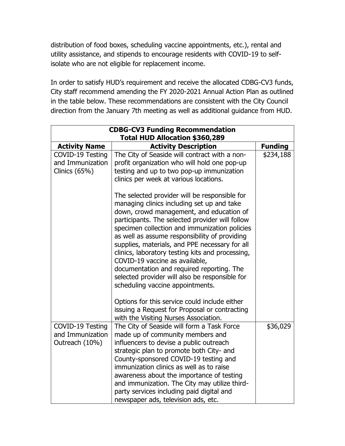distribution of food boxes, scheduling vaccine appointments, etc.), rental and utility assistance, and stipends to encourage residents with COVID-19 to selfisolate who are not eligible for replacement income.

In order to satisfy HUD's requirement and receive the allocated CDBG-CV3 funds, City staff recommend amending the FY 2020-2021 Annual Action Plan as outlined in the table below. These recommendations are consistent with the City Council direction from the January 7th meeting as well as additional guidance from HUD.

| <b>CDBG-CV3 Funding Recommendation</b><br>Total HUD Allocation \$360,289 |                                                                                                                                                                                                                                                                                                                                                                                                                                                                                                                                                                         |                |  |
|--------------------------------------------------------------------------|-------------------------------------------------------------------------------------------------------------------------------------------------------------------------------------------------------------------------------------------------------------------------------------------------------------------------------------------------------------------------------------------------------------------------------------------------------------------------------------------------------------------------------------------------------------------------|----------------|--|
| <b>Activity Name</b>                                                     | <b>Activity Description</b>                                                                                                                                                                                                                                                                                                                                                                                                                                                                                                                                             | <b>Funding</b> |  |
| COVID-19 Testing<br>and Immunization<br>Clinics $(65%)$                  | The City of Seaside will contract with a non-<br>profit organization who will hold one pop-up<br>testing and up to two pop-up immunization<br>clinics per week at various locations.                                                                                                                                                                                                                                                                                                                                                                                    | \$234,188      |  |
|                                                                          | The selected provider will be responsible for<br>managing clinics including set up and take<br>down, crowd management, and education of<br>participants. The selected provider will follow<br>specimen collection and immunization policies<br>as well as assume responsibility of providing<br>supplies, materials, and PPE necessary for all<br>clinics, laboratory testing kits and processing,<br>COVID-19 vaccine as available,<br>documentation and required reporting. The<br>selected provider will also be responsible for<br>scheduling vaccine appointments. |                |  |
|                                                                          | Options for this service could include either<br>issuing a Request for Proposal or contracting<br>with the Visiting Nurses Association.                                                                                                                                                                                                                                                                                                                                                                                                                                 |                |  |
| COVID-19 Testing<br>and Immunization<br>Outreach (10%)                   | The City of Seaside will form a Task Force<br>made up of community members and<br>influencers to devise a public outreach<br>strategic plan to promote both City- and<br>County-sponsored COVID-19 testing and<br>immunization clinics as well as to raise<br>awareness about the importance of testing<br>and immunization. The City may utilize third-<br>party services including paid digital and<br>newspaper ads, television ads, etc.                                                                                                                            | \$36,029       |  |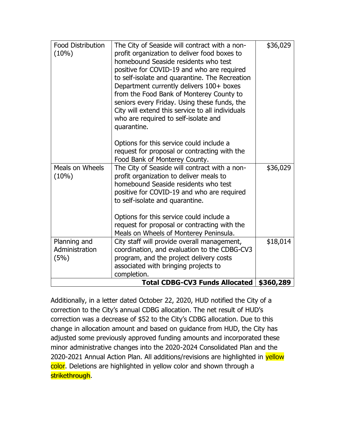| <b>Food Distribution</b><br>(10%)      | The City of Seaside will contract with a non-<br>profit organization to deliver food boxes to<br>homebound Seaside residents who test<br>positive for COVID-19 and who are required<br>to self-isolate and quarantine. The Recreation<br>Department currently delivers 100+ boxes<br>from the Food Bank of Monterey County to<br>seniors every Friday. Using these funds, the<br>City will extend this service to all individuals<br>who are required to self-isolate and<br>quarantine. | \$36,029 |
|----------------------------------------|------------------------------------------------------------------------------------------------------------------------------------------------------------------------------------------------------------------------------------------------------------------------------------------------------------------------------------------------------------------------------------------------------------------------------------------------------------------------------------------|----------|
|                                        | Options for this service could include a<br>request for proposal or contracting with the<br>Food Bank of Monterey County.                                                                                                                                                                                                                                                                                                                                                                |          |
| Meals on Wheels<br>$(10\%)$            | The City of Seaside will contract with a non-<br>profit organization to deliver meals to<br>homebound Seaside residents who test<br>positive for COVID-19 and who are required<br>to self-isolate and quarantine.                                                                                                                                                                                                                                                                        | \$36,029 |
|                                        | Options for this service could include a<br>request for proposal or contracting with the<br>Meals on Wheels of Monterey Peninsula.                                                                                                                                                                                                                                                                                                                                                       |          |
| Planning and<br>Administration<br>(5%) | City staff will provide overall management,<br>coordination, and evaluation to the CDBG-CV3<br>program, and the project delivery costs<br>associated with bringing projects to<br>completion.                                                                                                                                                                                                                                                                                            | \$18,014 |
|                                        | \$360,289                                                                                                                                                                                                                                                                                                                                                                                                                                                                                |          |

Additionally, in a letter dated October 22, 2020, HUD notified the City of a correction to the City's annual CDBG allocation. The net result of HUD's correction was a decrease of \$52 to the City's CDBG allocation. Due to this change in allocation amount and based on guidance from HUD, the City has adjusted some previously approved funding amounts and incorporated these minor administrative changes into the 2020-2024 Consolidated Plan and the 2020-2021 Annual Action Plan. All additions/revisions are highlighted in yellow color. Deletions are highlighted in yellow color and shown through a strikethrough.